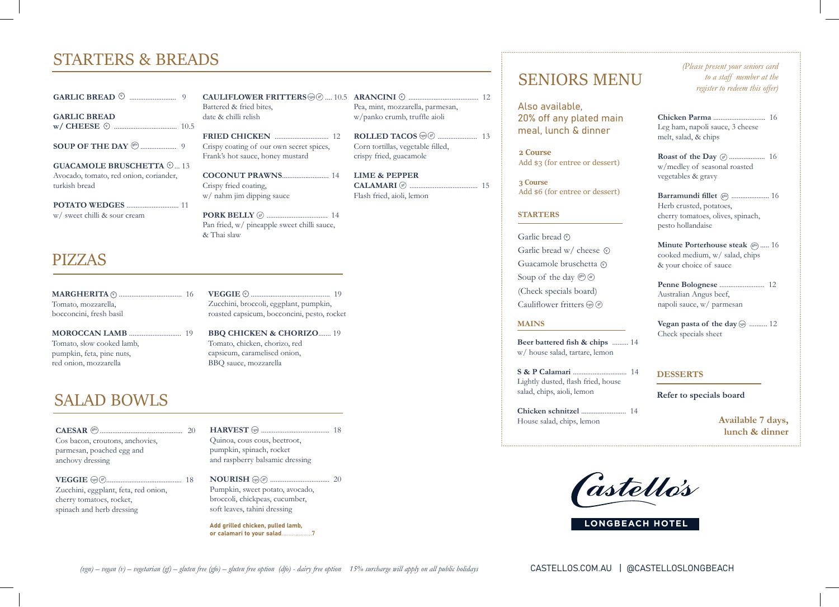## STARTERS & BREADS

**GARLIC BREAD** .......................... 9 **v**

**GARLIC BREAD w/ CHEESE** ................................... 10.5 **v**

**SOUP OF THE DAY** .................... 9 **gfo**

**GUACAMOLE BRUSCHETTA**  $\heartsuit$ ... 13 Avocado, tomato, red onion, coriander, turkish bread

**POTATO WEDGES** ............................. 11

w/ sweet chilli & sour cream

### PIZZAS

**MARGHERITA** ................................... 16 **v v** Tomato, mozzarella, bocconcini, fresh basil

**MOROCCAN LAMB** ............................. 19 Tomato, slow cooked lamb, pumpkin, feta, pine nuts, red onion, mozzarella

## SALAD BOWLS

**CAESAR** .............................................. 20 **gfo** Cos bacon, croutons, anchovies, parmesan, poached egg and anchovy dressing

**VEGGIE** .......................................... 18 **vgn gf** Zucchini, eggplant, feta, red onion, cherry tomatoes, rocket, spinach and herb dressing

Battered & fried bites, date & chilli relish

**FRIED CHICKEN** .............................. 12 Crispy coating of our own secret spices, Frank's hot sauce, honey mustard

**COCONUT PRAWNS**.......................... 14 Crispy fried coating, w/ nahm jim dipping sauce

**PORK BELLY** .................................. 14 **gf** Pan fried, w/ pineapple sweet chilli sauce,

& Thai slaw

**CAULIFLOWER FRITTERS** .... 10.5 **ARANCINI** ....................................... 12 **vgn gf v** Pea, mint, mozzarella, parmesan, w/panko crumb, truffle aioli

> **ROLLED TACOS** ...................... 13 **vgn gf** Corn tortillas, vegetable filled, crispy fried, guacamole

> **LIME & PEPPER CALAMARI** ......................................15 **gf**Flash fried, aioli, lemon

### **VEGGIE** ............................................ 19 Zucchini, broccoli, eggplant, pumpkin, roasted capsicum, bocconcini, pesto, rocket

**BBQ CHICKEN & CHORIZO**....... 19 Tomato, chicken, chorizo, red capsicum, caramelised onion, BBQ sauce, mozzarella

**HARVEST** ...................................... 18 **vgn** Quinoa, cous cous, beetroot, pumpkin, spinach, rocket and raspberry balsamic dressing

**NOURISH** ................................. 20 **vgn gf** Pumpkin, sweet potato, avocado, broccoli, chickpeas, cucumber, soft leaves, tahini dressing

Add grilled chicken, pulled lamb, or calamari to your salad...

# SENIORS MENU

Also available, 20% off any plated main meal, lunch & dinner

**2 Course**  Add \$3 (for entree or dessert)

**3 Course**  Add \$6 (for entree or dessert)

### **STARTERS**

Garlic bread  $\heartsuit$ Garlic bread w/ cheese  $\Phi$ Guacamole bruschetta **v** Soup of the day  $\mathcal{F}$  of (Check specials board) Cauliflower fritters  $\left(\mathbb{R}^n\right)$ 

### **MAINS**

**Beer battered fish & chips** ......... 14 w/ house salad, tartare, lemon

**S & P Calamari** .............................. 14 Lightly dusted, flash fried, house salad, chips, aioli, lemon

**Chicken schnitzel** ......................... 14 House salad, chips, lemon

*(Please present your seniors card to a staff member at the register to redeem this offer)*

**Chicken Parma** ............................. 16 Leg ham, napoli sauce, 3 cheese melt, salad, & chips

**Roast of the Day**  $\mathcal{C}$  ....................... 16 w/medley of seasonal roasted vegetables & gravy

**Barramundi fillet** ( $\text{g}$ <sup>6</sup>) ..................... 16 Herb crusted, potatoes, cherry tomatoes, olives, spinach, pesto hollandaise

**Minute Porterhouse steak**  $\left(\text{gen}\right)$ ..... 16 cooked medium, w/ salad, chips & your choice of sauce

**Penne Bolognese** ......................... 12 Australian Angus beef, napoli sauce, w/ parmesan

**Vegan pasta of the day**  $\left(\frac{1}{2}\right)$  .......... 12 Check specials sheet

### **DESSERTS**

**Refer to specials board**

**Available 7 days, lunch & dinner**

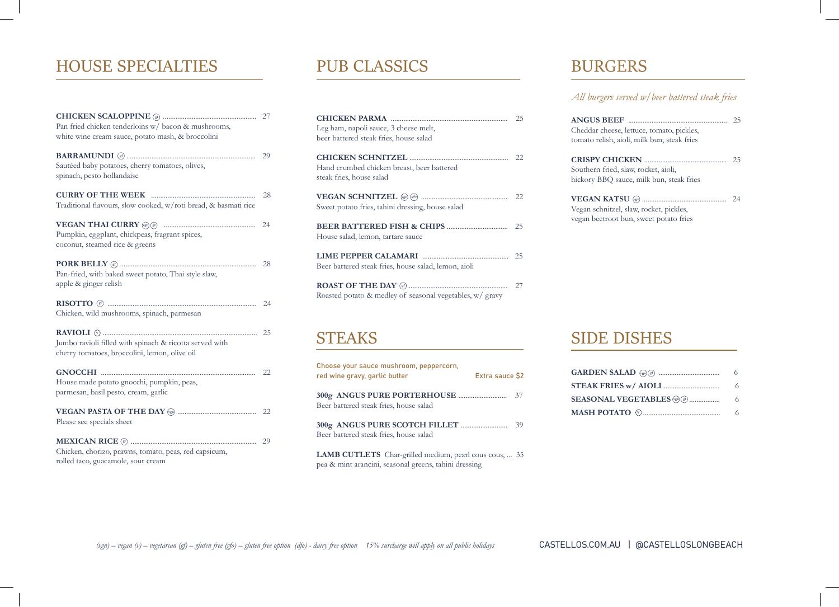## HOUSE SPECIALTIES PUB CLASSICS BURGERS

| Pan fried chicken tenderloins w/ bacon & mushrooms,             |    |
|-----------------------------------------------------------------|----|
| white wine cream sauce, potato mash, & broccolini               |    |
|                                                                 |    |
|                                                                 | 29 |
| Sautéed baby potatoes, cherry tomatoes, olives,                 |    |
| spinach, pesto hollandaise                                      |    |
|                                                                 |    |
|                                                                 | 28 |
| Traditional flavours, slow cooked, w/roti bread, & basmati rice |    |
|                                                                 |    |
|                                                                 | 24 |
| Pumpkin, eggplant, chickpeas, fragrant spices,                  |    |
| coconut, steamed rice & greens                                  |    |
|                                                                 |    |
|                                                                 | 28 |
| Pan-fried, with baked sweet potato, Thai style slaw,            |    |
| apple & ginger relish                                           |    |
|                                                                 |    |
| Chicken, wild mushrooms, spinach, parmesan                      | 24 |
|                                                                 |    |
|                                                                 | 25 |
| Jumbo ravioli filled with spinach & ricotta served with         |    |
| cherry tomatoes, broccolini, lemon, olive oil                   |    |
|                                                                 |    |
|                                                                 | 22 |
| House made potato gnocchi, pumpkin, peas,                       |    |
| parmesan, basil pesto, cream, garlic                            |    |
|                                                                 |    |
|                                                                 | 22 |
| Please see specials sheet                                       |    |
|                                                                 |    |
|                                                                 | 29 |
| Chicken, chorizo, prawns, tomato, peas, red capsicum,           |    |
| rolled taco, guacamole, sour cream                              |    |

| Leg ham, napoli sauce, 3 cheese melt,<br>beer battered steak fries, house salad | 25  |
|---------------------------------------------------------------------------------|-----|
| Hand crumbed chicken breast, beer battered<br>steak fries, house salad          |     |
| Sweet potato fries, tahini dressing, house salad                                | -22 |
| House salad, lemon, tartare sauce                                               | 25  |
| Beer battered steak fries, house salad, lemon, aioli                            | 25  |
| Roasted potato & medley of seasonal vegetables, w/ gravy                        | 27  |

### **STEAKS**

| Choose your sauce mushroom, peppercorn,<br>red wine gravy, garlic butter | Extra sauce \$2 |     |
|--------------------------------------------------------------------------|-----------------|-----|
| Beer battered steak fries, house salad                                   |                 | -37 |
| Beer battered steak fries, house salad                                   |                 | 39  |

**LAMB CUTLETS** Char-grilled medium, pearl cous cous, ... 35 pea & mint arancini, seasonal greens, tahini dressing

*All burgers served w/beer battered steak fries*

| Cheddar cheese, lettuce, tomato, pickles,<br>tomato relish, aioli, milk bun, steak fries | つら |
|------------------------------------------------------------------------------------------|----|
| Southern fried, slaw, rocket, aioli,<br>hickory BBQ sauce, milk bun, steak fries         | 25 |
| Vegan schnitzel, slaw, rocket, pickles,<br>vegan beetroot bun, sweet potato fries        | 24 |

### SIDE DISHES

| <b>STEAK FRIES w/ AIOLI </b> | 6. |
|------------------------------|----|
| SEASONAL VEGETABLES          | -6 |
|                              |    |